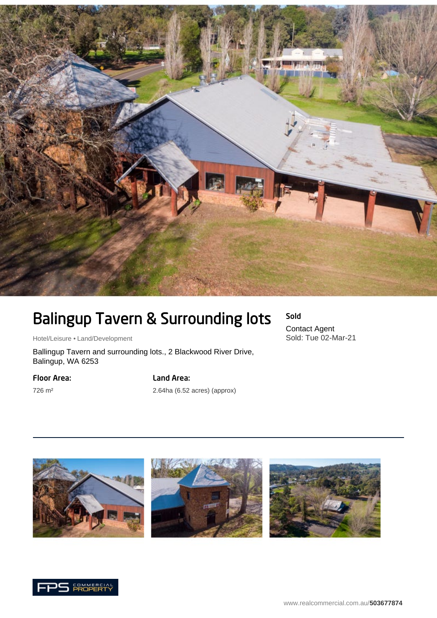

# Balingup Tavern & Surrounding lots

Hotel/Leisure • Land/Development

Ballingup Tavern and surrounding lots., 2 Blackwood River Drive, Balingup, WA 6253

### Floor Area:

726 m²

## Land Area:

2.64ha (6.52 acres) (approx)



Sold Contact Agent

Sold: Tue 02-Mar-21